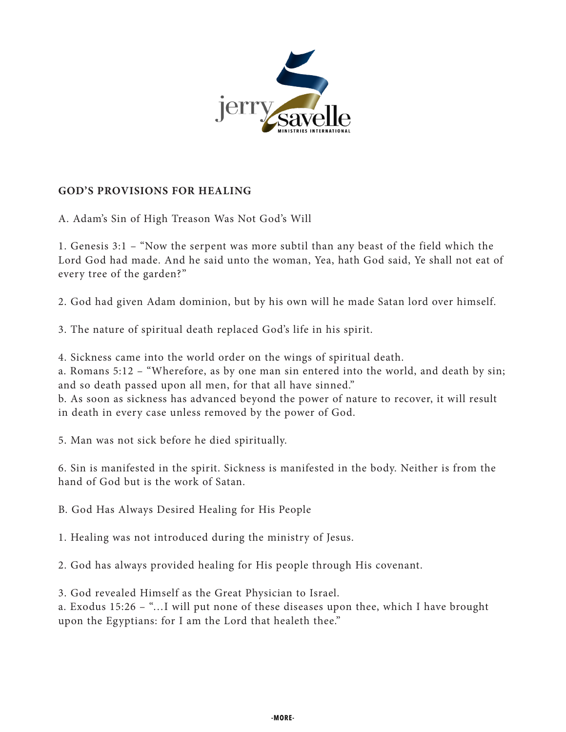

## **GOD'S PROVISIONS FOR HEALING**

A. Adam's Sin of High Treason Was Not God's Will

1. Genesis 3:1 – "Now the serpent was more subtil than any beast of the field which the Lord God had made. And he said unto the woman, Yea, hath God said, Ye shall not eat of every tree of the garden?"

2. God had given Adam dominion, but by his own will he made Satan lord over himself.

3. The nature of spiritual death replaced God's life in his spirit.

4. Sickness came into the world order on the wings of spiritual death.

a. Romans 5:12 – "Wherefore, as by one man sin entered into the world, and death by sin; and so death passed upon all men, for that all have sinned."

b. As soon as sickness has advanced beyond the power of nature to recover, it will result in death in every case unless removed by the power of God.

5. Man was not sick before he died spiritually.

6. Sin is manifested in the spirit. Sickness is manifested in the body. Neither is from the hand of God but is the work of Satan.

B. God Has Always Desired Healing for His People

1. Healing was not introduced during the ministry of Jesus.

2. God has always provided healing for His people through His covenant.

3. God revealed Himself as the Great Physician to Israel.

a. Exodus 15:26 – "…I will put none of these diseases upon thee, which I have brought upon the Egyptians: for I am the Lord that healeth thee."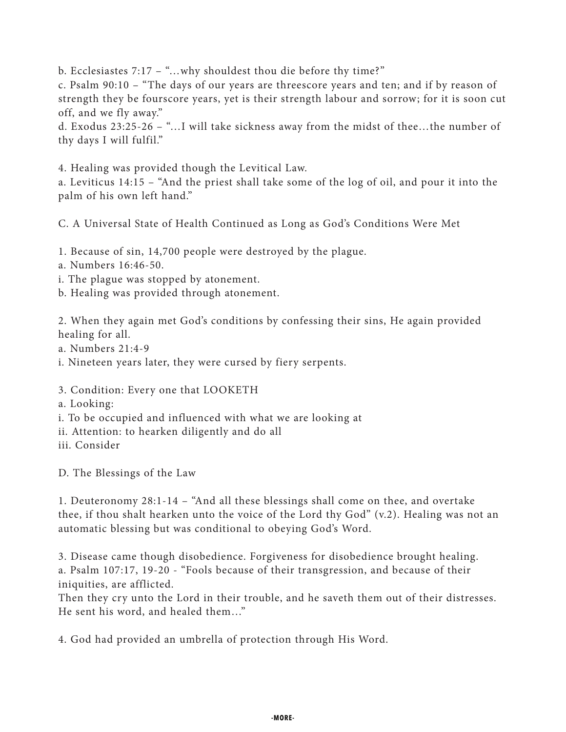b. Ecclesiastes 7:17 – "...why shouldest thou die before thy time?"

c. Psalm 90:10 – "The days of our years are threescore years and ten; and if by reason of strength they be fourscore years, yet is their strength labour and sorrow; for it is soon cut off, and we fly away."

d. Exodus 23:25-26 – "…I will take sickness away from the midst of thee…the number of thy days I will fulfil."

4. Healing was provided though the Levitical Law.

a. Leviticus 14:15 – "And the priest shall take some of the log of oil, and pour it into the palm of his own left hand."

C. A Universal State of Health Continued as Long as God's Conditions Were Met

1. Because of sin, 14,700 people were destroyed by the plague.

a. Numbers 16:46-50.

i. The plague was stopped by atonement.

b. Healing was provided through atonement.

2. When they again met God's conditions by confessing their sins, He again provided healing for all.

a. Numbers 21:4-9

i. Nineteen years later, they were cursed by fiery serpents.

3. Condition: Every one that LOOKETH

a. Looking:

i. To be occupied and influenced with what we are looking at

ii. Attention: to hearken diligently and do all

iii. Consider

D. The Blessings of the Law

1. Deuteronomy 28:1-14 – "And all these blessings shall come on thee, and overtake thee, if thou shalt hearken unto the voice of the Lord thy God" (v.2). Healing was not an automatic blessing but was conditional to obeying God's Word.

3. Disease came though disobedience. Forgiveness for disobedience brought healing. a. Psalm 107:17, 19-20 - "Fools because of their transgression, and because of their iniquities, are afflicted.

Then they cry unto the Lord in their trouble, and he saveth them out of their distresses. He sent his word, and healed them…"

4. God had provided an umbrella of protection through His Word.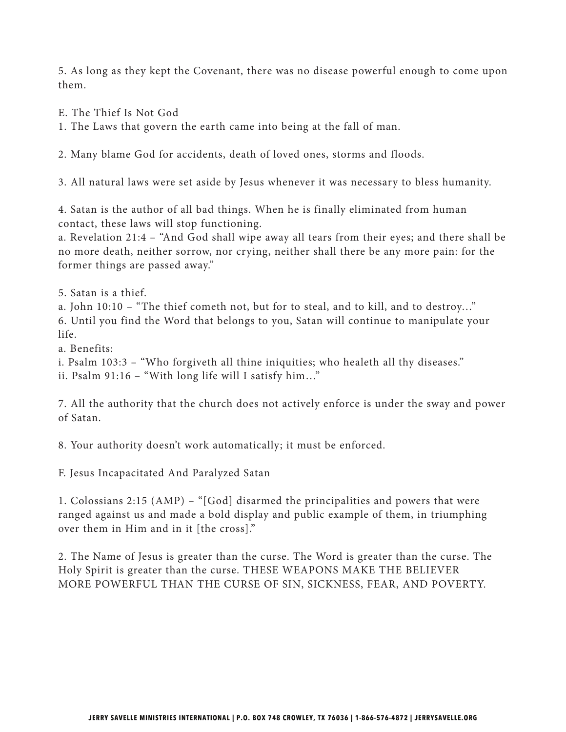5. As long as they kept the Covenant, there was no disease powerful enough to come upon them.

E. The Thief Is Not God

1. The Laws that govern the earth came into being at the fall of man.

2. Many blame God for accidents, death of loved ones, storms and floods.

3. All natural laws were set aside by Jesus whenever it was necessary to bless humanity.

4. Satan is the author of all bad things. When he is finally eliminated from human contact, these laws will stop functioning.

a. Revelation 21:4 – "And God shall wipe away all tears from their eyes; and there shall be no more death, neither sorrow, nor crying, neither shall there be any more pain: for the former things are passed away."

5. Satan is a thief.

a. John 10:10 – "The thief cometh not, but for to steal, and to kill, and to destroy…" 6. Until you find the Word that belongs to you, Satan will continue to manipulate your life.

a. Benefits:

i. Psalm 103:3 – "Who forgiveth all thine iniquities; who healeth all thy diseases."

ii. Psalm 91:16 – "With long life will I satisfy him…"

7. All the authority that the church does not actively enforce is under the sway and power of Satan.

8. Your authority doesn't work automatically; it must be enforced.

F. Jesus Incapacitated And Paralyzed Satan

1. Colossians 2:15 (AMP) – "[God] disarmed the principalities and powers that were ranged against us and made a bold display and public example of them, in triumphing over them in Him and in it [the cross]."

2. The Name of Jesus is greater than the curse. The Word is greater than the curse. The Holy Spirit is greater than the curse. THESE WEAPONS MAKE THE BELIEVER MORE POWERFUL THAN THE CURSE OF SIN, SICKNESS, FEAR, AND POVERTY.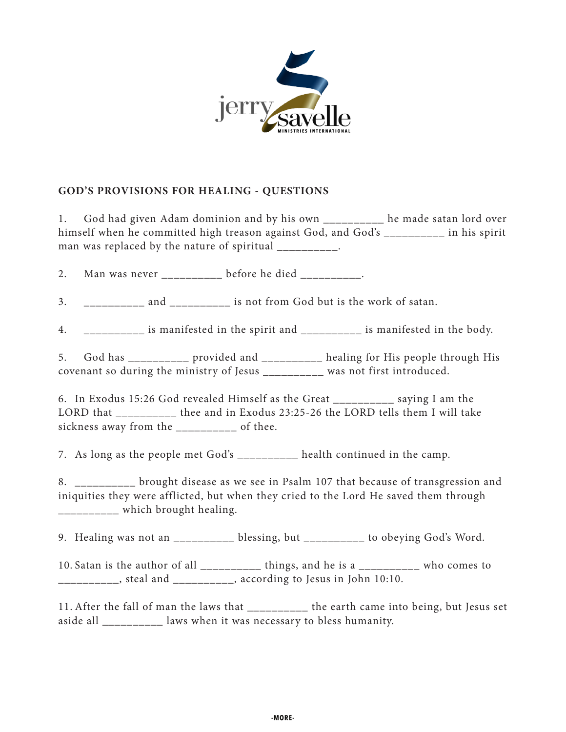

## **GOD'S PROVISIONS FOR HEALING - QUESTIONS**

1. God had given Adam dominion and by his own \_\_\_\_\_\_\_\_\_\_ he made satan lord over himself when he committed high treason against God, and God's \_\_\_\_\_\_\_\_\_ in his spirit man was replaced by the nature of spiritual \_\_\_\_\_\_\_\_\_.

2. Man was never \_\_\_\_\_\_\_\_\_ before he died \_\_\_\_\_\_\_\_\_.

3. and and is not from God but is the work of satan.

4. \_\_\_\_\_\_\_\_\_\_ is manifested in the spirit and \_\_\_\_\_\_\_\_\_\_ is manifested in the body.

5. God has \_\_\_\_\_\_\_\_\_\_ provided and \_\_\_\_\_\_\_\_\_\_ healing for His people through His covenant so during the ministry of Jesus \_\_\_\_\_\_\_\_\_\_ was not first introduced.

6. In Exodus 15:26 God revealed Himself as the Great \_\_\_\_\_\_\_\_\_\_ saying I am the LORD that \_\_\_\_\_\_\_\_\_\_ thee and in Exodus 23:25-26 the LORD tells them I will take sickness away from the \_\_\_\_\_\_\_\_\_ of thee.

7. As long as the people met God's \_\_\_\_\_\_\_\_\_\_ health continued in the camp.

8. \_\_\_\_\_\_\_\_\_\_ brought disease as we see in Psalm 107 that because of transgression and iniquities they were afflicted, but when they cried to the Lord He saved them through \_\_\_\_\_\_\_\_\_\_ which brought healing.

9. Healing was not an \_\_\_\_\_\_\_\_\_\_ blessing, but \_\_\_\_\_\_\_\_\_\_ to obeying God's Word.

10. Satan is the author of all \_\_\_\_\_\_\_\_\_\_ things, and he is a \_\_\_\_\_\_\_\_\_\_ who comes to  $\frac{1}{2}$  steal and  $\frac{1}{2}$ , according to Jesus in John 10:10.

11. After the fall of man the laws that \_\_\_\_\_\_\_\_\_\_ the earth came into being, but Jesus set aside all \_\_\_\_\_\_\_\_\_\_ laws when it was necessary to bless humanity.